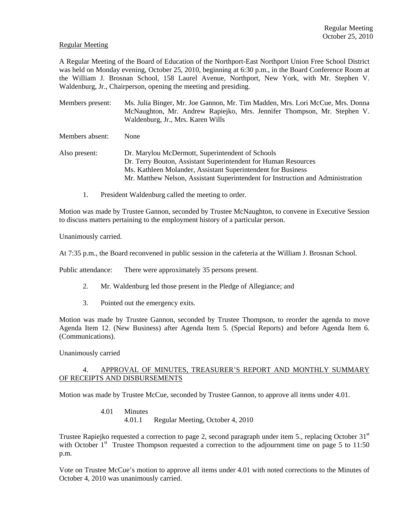## Regular Meeting

A Regular Meeting of the Board of Education of the Northport-East Northport Union Free School District was held on Monday evening, October 25, 2010, beginning at 6:30 p.m., in the Board Conference Room at the William J. Brosnan School, 158 Laurel Avenue, Northport, New York, with Mr. Stephen V. Waldenburg, Jr., Chairperson, opening the meeting and presiding.

Members present: Ms. Julia Binger, Mr. Joe Gannon, Mr. Tim Madden, Mrs. Lori McCue, Mrs. Donna McNaughton, Mr. Andrew Rapiejko, Mrs. Jennifer Thompson, Mr. Stephen V. Waldenburg, Jr., Mrs. Karen Wills

Members absent: None

Also present: Dr. Marylou McDermott, Superintendent of Schools Dr. Terry Bouton, Assistant Superintendent for Human Resources Ms. Kathleen Molander, Assistant Superintendent for Business Mr. Matthew Nelson, Assistant Superintendent for Instruction and Administration

1. President Waldenburg called the meeting to order.

Motion was made by Trustee Gannon, seconded by Trustee McNaughton, to convene in Executive Session to discuss matters pertaining to the employment history of a particular person.

Unanimously carried.

At 7:35 p.m., the Board reconvened in public session in the cafeteria at the William J. Brosnan School.

Public attendance: There were approximately 35 persons present.

- 2. Mr. Waldenburg led those present in the Pledge of Allegiance; and
- 3. Pointed out the emergency exits.

Motion was made by Trustee Gannon, seconded by Trustee Thompson, to reorder the agenda to move Agenda Item 12. (New Business) after Agenda Item 5. (Special Reports) and before Agenda Item 6. (Communications).

### Unanimously carried

## 4. APPROVAL OF MINUTES, TREASURER'S REPORT AND MONTHLY SUMMARY OF RECEIPTS AND DISBURSEMENTS

Motion was made by Trustee McCue, seconded by Trustee Gannon, to approve all items under 4.01.

 4.01 Minutes 4.01.1 Regular Meeting, October 4, 2010

Trustee Rapiejko requested a correction to page 2, second paragraph under item 5., replacing October  $31<sup>st</sup>$ with October  $1<sup>st</sup>$  Trustee Thompson requested a correction to the adjournment time on page 5 to 11:50 p.m.

Vote on Trustee McCue's motion to approve all items under 4.01 with noted corrections to the Minutes of October 4, 2010 was unanimously carried.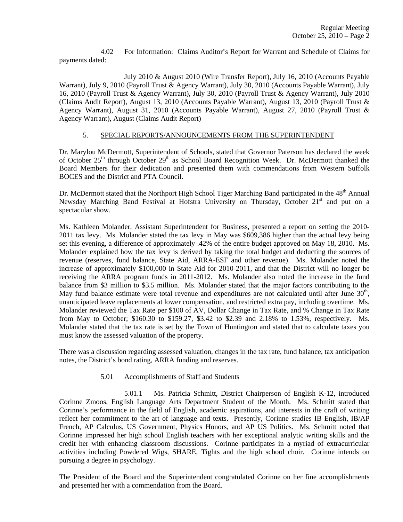4.02 For Information: Claims Auditor's Report for Warrant and Schedule of Claims for payments dated:

 July 2010 & August 2010 (Wire Transfer Report), July 16, 2010 (Accounts Payable Warrant), July 9, 2010 (Payroll Trust & Agency Warrant), July 30, 2010 (Accounts Payable Warrant), July 16, 2010 (Payroll Trust & Agency Warrant), July 30, 2010 (Payroll Trust & Agency Warrant), July 2010 (Claims Audit Report), August 13, 2010 (Accounts Payable Warrant), August 13, 2010 (Payroll Trust & Agency Warrant), August 31, 2010 (Accounts Payable Warrant), August 27, 2010 (Payroll Trust & Agency Warrant), August (Claims Audit Report)

## 5. SPECIAL REPORTS/ANNOUNCEMENTS FROM THE SUPERINTENDENT

Dr. Marylou McDermott, Superintendent of Schools, stated that Governor Paterson has declared the week of October 25<sup>th</sup> through October 29<sup>th</sup> as School Board Recognition Week. Dr. McDermott thanked the Board Members for their dedication and presented them with commendations from Western Suffolk BOCES and the District and PTA Council.

Dr. McDermott stated that the Northport High School Tiger Marching Band participated in the 48<sup>th</sup> Annual Newsday Marching Band Festival at Hofstra University on Thursday, October 21<sup>st</sup> and put on a spectacular show.

Ms. Kathleen Molander, Assistant Superintendent for Business, presented a report on setting the 2010- 2011 tax levy. Ms. Molander stated the tax levy in May was \$609,386 higher than the actual levy being set this evening, a difference of approximately .42% of the entire budget approved on May 18, 2010. Ms. Molander explained how the tax levy is derived by taking the total budget and deducting the sources of revenue (reserves, fund balance, State Aid, ARRA-ESF and other revenue). Ms. Molander noted the increase of approximately \$100,000 in State Aid for 2010-2011, and that the District will no longer be receiving the ARRA program funds in 2011-2012. Ms. Molander also noted the increase in the fund balance from \$3 million to \$3.5 million. Ms. Molander stated that the major factors contributing to the May fund balance estimate were total revenue and expenditures are not calculated until after June  $30<sup>th</sup>$ , unanticipated leave replacements at lower compensation, and restricted extra pay, including overtime. Ms. Molander reviewed the Tax Rate per \$100 of AV, Dollar Change in Tax Rate, and % Change in Tax Rate from May to October; \$160.30 to \$159.27, \$3.42 to \$2.39 and 2.18% to 1.53%, respectively. Ms. Molander stated that the tax rate is set by the Town of Huntington and stated that to calculate taxes you must know the assessed valuation of the property.

There was a discussion regarding assessed valuation, changes in the tax rate, fund balance, tax anticipation notes, the District's bond rating, ARRA funding and reserves.

5.01 Accomplishments of Staff and Students

 5.01.1 Ms. Patricia Schmitt, District Chairperson of English K-12, introduced Corinne Zmoos, English Language Arts Department Student of the Month. Ms. Schmitt stated that Corinne's performance in the field of English, academic aspirations, and interests in the craft of writing reflect her commitment to the art of language and texts. Presently, Corinne studies IB English, IB/AP French, AP Calculus, US Government, Physics Honors, and AP US Politics. Ms. Schmitt noted that Corinne impressed her high school English teachers with her exceptional analytic writing skills and the credit her with enhancing classroom discussions. Corinne participates in a myriad of extracurricular activities including Powdered Wigs, SHARE, Tights and the high school choir. Corinne intends on pursuing a degree in psychology.

The President of the Board and the Superintendent congratulated Corinne on her fine accomplishments and presented her with a commendation from the Board.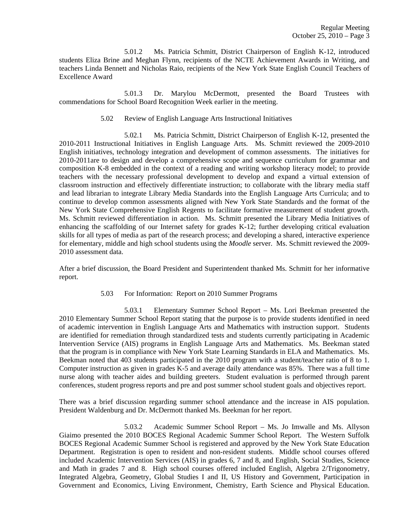5.01.2 Ms. Patricia Schmitt, District Chairperson of English K-12, introduced students Eliza Brine and Meghan Flynn, recipients of the NCTE Achievement Awards in Writing, and teachers Linda Bennett and Nicholas Raio, recipients of the New York State English Council Teachers of Excellence Award

 5.01.3 Dr. Marylou McDermott, presented the Board Trustees with commendations for School Board Recognition Week earlier in the meeting.

5.02 Review of English Language Arts Instructional Initiatives

 5.02.1 Ms. Patricia Schmitt, District Chairperson of English K-12, presented the 2010-2011 Instructional Initiatives in English Language Arts. Ms. Schmitt reviewed the 2009-2010 English initiatives, technology integration and development of common assessments. The initiatives for 2010-2011are to design and develop a comprehensive scope and sequence curriculum for grammar and composition K-8 embedded in the context of a reading and writing workshop literacy model; to provide teachers with the necessary professional development to develop and expand a virtual extension of classroom instruction and effectively differentiate instruction; to collaborate with the library media staff and lead librarian to integrate Library Media Standards into the English Language Arts Curricula; and to continue to develop common assessments aligned with New York State Standards and the format of the New York State Comprehensive English Regents to facilitate formative measurement of student growth. Ms. Schmitt reviewed differentiation in action. Ms. Schmitt presented the Library Media Initiatives of enhancing the scaffolding of our Internet safety for grades K-12; further developing critical evaluation skills for all types of media as part of the research process; and developing a shared, interactive experience for elementary, middle and high school students using the *Moodle* server. Ms. Schmitt reviewed the 2009- 2010 assessment data.

After a brief discussion, the Board President and Superintendent thanked Ms. Schmitt for her informative report.

5.03 For Information: Report on 2010 Summer Programs

 5.03.1 Elementary Summer School Report – Ms. Lori Beekman presented the 2010 Elementary Summer School Report stating that the purpose is to provide students identified in need of academic intervention in English Language Arts and Mathematics with instruction support. Students are identified for remediation through standardized tests and students currently participating in Academic Intervention Service (AIS) programs in English Language Arts and Mathematics. Ms. Beekman stated that the program is in compliance with New York State Learning Standards in ELA and Mathematics. Ms. Beekman noted that 403 students participated in the 2010 program with a student/teacher ratio of 8 to 1. Computer instruction as given in grades K-5 and average daily attendance was 85%. There was a full time nurse along with teacher aides and building greeters. Student evaluation is performed through parent conferences, student progress reports and pre and post summer school student goals and objectives report.

There was a brief discussion regarding summer school attendance and the increase in AIS population. President Waldenburg and Dr. McDermott thanked Ms. Beekman for her report.

 5.03.2 Academic Summer School Report – Ms. Jo Imwalle and Ms. Allyson Giaimo presented the 2010 BOCES Regional Academic Summer School Report. The Western Suffolk BOCES Regional Academic Summer School is registered and approved by the New York State Education Department. Registration is open to resident and non-resident students. Middle school courses offered included Academic Intervention Services (AIS) in grades 6, 7 and 8, and English, Social Studies, Science and Math in grades 7 and 8. High school courses offered included English, Algebra 2/Trigonometry, Integrated Algebra, Geometry, Global Studies I and II, US History and Government, Participation in Government and Economics, Living Environment, Chemistry, Earth Science and Physical Education.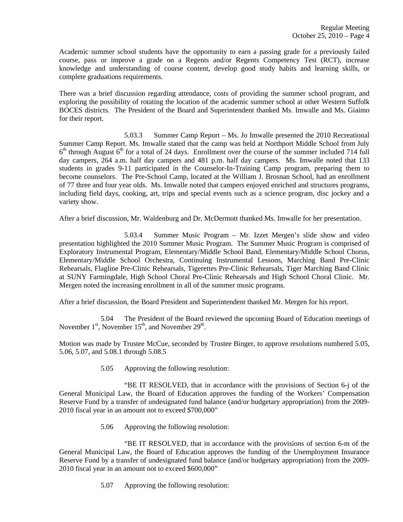Academic summer school students have the opportunity to earn a passing grade for a previously failed course, pass or improve a grade on a Regents and/or Regents Competency Test (RCT), increase knowledge and understanding of course content, develop good study habits and learning skills, or complete graduations requirements.

There was a brief discussion regarding attendance, costs of providing the summer school program, and exploring the possibility of rotating the location of the academic summer school at other Western Suffolk BOCES districts. The President of the Board and Superintendent thanked Ms. Imwalle and Ms. Giaimo for their report.

 5.03.3 Summer Camp Report – Ms. Jo Imwalle presented the 2010 Recreational Summer Camp Report. Ms. Imwalle stated that the camp was held at Northport Middle School from July  $6<sup>th</sup>$  through August  $6<sup>th</sup>$  for a total of 24 days. Enrollment over the course of the summer included 714 full day campers, 264 a.m. half day campers and 481 p.m. half day campers. Ms. Imwalle noted that 133 students in grades 9-11 participated in the Counselor-In-Training Camp program, preparing them to become counselors. The Pre-School Camp, located at the William J. Brosnan School, had an enrollment of 77 three and four year olds. Ms. Imwalle noted that campers enjoyed enriched and structures programs, including field days, cooking, art, trips and special events such as a science program, disc jockey and a variety show.

After a brief discussion, Mr. Waldenburg and Dr. McDermott thanked Ms. Imwalle for her presentation.

 5.03.4 Summer Music Program – Mr. Izzet Mergen's slide show and video presentation highlighted the 2010 Summer Music Program. The Summer Music Program is comprised of Exploratory Instrumental Program, Elementary/Middle School Band, Elementary/Middle School Chorus, Elementary/Middle School Orchestra, Continuing Instrumental Lessons, Marching Band Pre-Clinic Rehearsals, Flagline Pre-Clinic Rehearsals, Tigerettes Pre-Clinic Rehearsals, Tiger Marching Band Clinic at SUNY Farmingdale, High School Choral Pre-Clinic Rehearsals and High School Choral Clinic. Mr. Mergen noted the increasing enrollment in all of the summer music programs.

After a brief discussion, the Board President and Superintendent thanked Mr. Mergen for his report.

 5.04 The President of the Board reviewed the upcoming Board of Education meetings of November  $1<sup>st</sup>$ , November  $15<sup>th</sup>$ , and November  $29<sup>th</sup>$ .

Motion was made by Trustee McCue, seconded by Trustee Binger, to approve resolutions numbered 5.05, 5.06, 5.07, and 5.08.1 through 5.08.5

5.05 Approving the following resolution:

 "BE IT RESOLVED, that in accordance with the provisions of Section 6-j of the General Municipal Law, the Board of Education approves the funding of the Workers' Compensation Reserve Fund by a transfer of undesignated fund balance (and/or budgetary appropriation) from the 2009- 2010 fiscal year in an amount not to exceed \$700,000"

5.06 Approving the following resolution:

 "BE IT RESOLVED, that in accordance with the provisions of section 6-m of the General Municipal Law, the Board of Education approves the funding of the Unemployment Insurance Reserve Fund by a transfer of undesignated fund balance (and/or budgetary appropriation) from the 2009- 2010 fiscal year in an amount not to exceed \$600,000"

5.07 Approving the following resolution: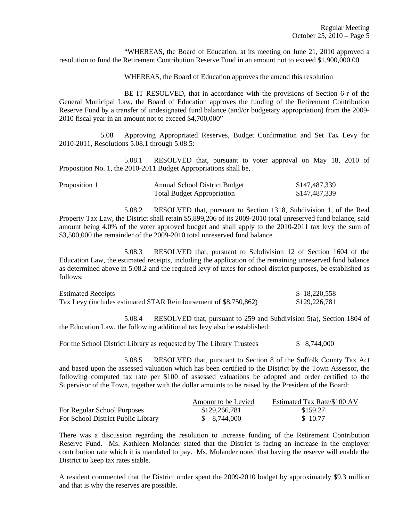"WHEREAS, the Board of Education, at its meeting on June 21, 2010 approved a resolution to fund the Retirement Contribution Reserve Fund in an amount not to exceed \$1,900,000.00

WHEREAS, the Board of Education approves the amend this resolution

 BE IT RESOLVED, that in accordance with the provisions of Section 6-r of the General Municipal Law, the Board of Education approves the funding of the Retirement Contribution Reserve Fund by a transfer of undesignated fund balance (and/or budgetary appropriation) from the 2009- 2010 fiscal year in an amount not to exceed \$4,700,000"

 5.08 Approving Appropriated Reserves, Budget Confirmation and Set Tax Levy for 2010-2011, Resolutions 5.08.1 through 5.08.5:

 5.08.1 RESOLVED that, pursuant to voter approval on May 18, 2010 of Proposition No. 1, the 2010-2011 Budget Appropriations shall be,

| Proposition 1 | <b>Annual School District Budget</b> | \$147,487,339 |
|---------------|--------------------------------------|---------------|
|               | <b>Total Budget Appropriation</b>    | \$147,487,339 |

 5.08.2 RESOLVED that, pursuant to Section 1318, Subdivision 1, of the Real Property Tax Law, the District shall retain \$5,899,206 of its 2009-2010 total unreserved fund balance, said amount being 4.0% of the voter approved budget and shall apply to the 2010-2011 tax levy the sum of \$3,500,000 the remainder of the 2009-2010 total unreserved fund balance

 5.08.3 RESOLVED that, pursuant to Subdivision 12 of Section 1604 of the Education Law, the estimated receipts, including the application of the remaining unreserved fund balance as determined above in 5.08.2 and the required levy of taxes for school district purposes, be established as follows:

| <b>Estimated Receipts</b>                                       | \$18,220,558  |
|-----------------------------------------------------------------|---------------|
| Tax Levy (includes estimated STAR Reimbursement of \$8,750,862) | \$129,226,781 |

 5.08.4 RESOLVED that, pursuant to 259 and Subdivision 5(a), Section 1804 of the Education Law, the following additional tax levy also be established:

For the School District Library as requested by The Library Trustees  $$8,744,000$ 

 5.08.5 RESOLVED that, pursuant to Section 8 of the Suffolk County Tax Act and based upon the assessed valuation which has been certified to the District by the Town Assessor, the following computed tax rate per \$100 of assessed valuations be adopted and order certified to the Supervisor of the Town, together with the dollar amounts to be raised by the President of the Board:

|                                    | Amount to be Levied | Estimated Tax Rate/\$100 AV |
|------------------------------------|---------------------|-----------------------------|
| For Regular School Purposes        | \$129,266,781       | \$159.27                    |
| For School District Public Library | \$ 8.744,000        | \$10.77                     |

There was a discussion regarding the resolution to increase funding of the Retirement Contribution Reserve Fund. Ms. Kathleen Molander stated that the District is facing an increase in the employer contribution rate which it is mandated to pay. Ms. Molander noted that having the reserve will enable the District to keep tax rates stable.

A resident commented that the District under spent the 2009-2010 budget by approximately \$9.3 million and that is why the reserves are possible.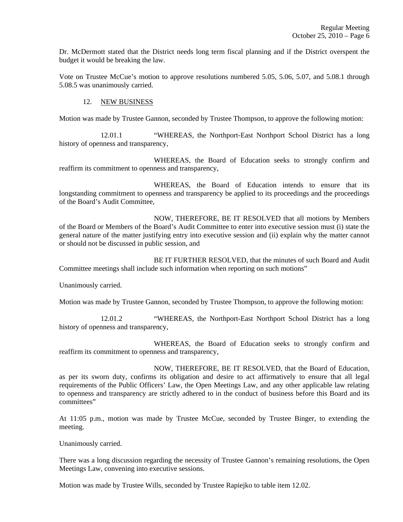Dr. McDermott stated that the District needs long term fiscal planning and if the District overspent the budget it would be breaking the law.

Vote on Trustee McCue's motion to approve resolutions numbered 5.05, 5.06, 5.07, and 5.08.1 through 5.08.5 was unanimously carried.

## 12. NEW BUSINESS

Motion was made by Trustee Gannon, seconded by Trustee Thompson, to approve the following motion:

 12.01.1 "WHEREAS, the Northport-East Northport School District has a long history of openness and transparency,

 WHEREAS, the Board of Education seeks to strongly confirm and reaffirm its commitment to openness and transparency,

 WHEREAS, the Board of Education intends to ensure that its longstanding commitment to openness and transparency be applied to its proceedings and the proceedings of the Board's Audit Committee,

 NOW, THEREFORE, BE IT RESOLVED that all motions by Members of the Board or Members of the Board's Audit Committee to enter into executive session must (i) state the general nature of the matter justifying entry into executive session and (ii) explain why the matter cannot or should not be discussed in public session, and

 BE IT FURTHER RESOLVED, that the minutes of such Board and Audit Committee meetings shall include such information when reporting on such motions"

Unanimously carried.

Motion was made by Trustee Gannon, seconded by Trustee Thompson, to approve the following motion:

 12.01.2 "WHEREAS, the Northport-East Northport School District has a long history of openness and transparency,

 WHEREAS, the Board of Education seeks to strongly confirm and reaffirm its commitment to openness and transparency,

 NOW, THEREFORE, BE IT RESOLVED, that the Board of Education, as per its sworn duty, confirms its obligation and desire to act affirmatively to ensure that all legal requirements of the Public Officers' Law, the Open Meetings Law, and any other applicable law relating to openness and transparency are strictly adhered to in the conduct of business before this Board and its committees"

At 11:05 p.m., motion was made by Trustee McCue, seconded by Trustee Binger, to extending the meeting.

Unanimously carried.

There was a long discussion regarding the necessity of Trustee Gannon's remaining resolutions, the Open Meetings Law, convening into executive sessions.

Motion was made by Trustee Wills, seconded by Trustee Rapiejko to table item 12.02.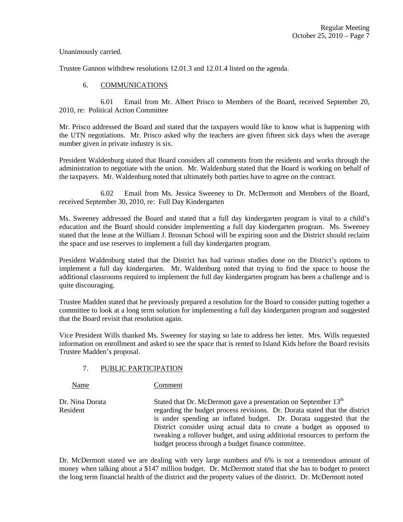Unanimously carried.

Trustee Gannon withdrew resolutions 12.01.3 and 12.01.4 listed on the agenda.

# 6. COMMUNICATIONS

 6.01 Email from Mr. Albert Prisco to Members of the Board, received September 20, 2010, re: Political Action Committee

Mr. Prisco addressed the Board and stated that the taxpayers would like to know what is happening with the UTN negotiations. Mr. Prisco asked why the teachers are given fifteen sick days when the average number given in private industry is six.

President Waldenburg stated that Board considers all comments from the residents and works through the administration to negotiate with the union. Mr. Waldenburg stated that the Board is working on behalf of the taxpayers. Mr. Waldenburg noted that ultimately both parties have to agree on the contract.

 6.02 Email from Ms. Jessica Sweeney to Dr. McDermott and Members of the Board, received September 30, 2010, re: Full Day Kindergarten

Ms. Sweeney addressed the Board and stated that a full day kindergarten program is vital to a child's education and the Board should consider implementing a full day kindergarten program. Ms. Sweeney stated that the lease at the William J. Brosnan School will be expiring soon and the District should reclaim the space and use reserves to implement a full day kindergarten program.

President Waldenburg stated that the District has had various studies done on the District's options to implement a full day kindergarten. Mr. Waldenburg noted that trying to find the space to house the additional classrooms required to implement the full day kindergarten program has been a challenge and is quite discouraging.

Trustee Madden stated that he previously prepared a resolution for the Board to consider putting together a committee to look at a long term solution for implementing a full day kindergarten program and suggested that the Board revisit that resolution again.

Vice President Wills thanked Ms. Sweeney for staying so late to address her letter. Mrs. Wills requested information on enrollment and asked to see the space that is rented to Island Kids before the Board revisits Trustee Madden's proposal.

# 7. PUBLIC PARTICIPATION

Name Comment

Dr. Nina Dorata Stated that Dr. McDermott gave a presentation on September 13<sup>th</sup> Resident regarding the budget process revisions. Dr. Dorata stated that the district is under spending an inflated budget. Dr. Dorata suggested that the District consider using actual data to create a budget as opposed to tweaking a rollover budget, and using additional resources to perform the budget process through a budget finance committee.

Dr. McDermott stated we are dealing with very large numbers and 6% is not a tremendous amount of money when talking about a \$147 million budget. Dr. McDermott stated that she has to budget to protect the long term financial health of the district and the property values of the district. Dr. McDermott noted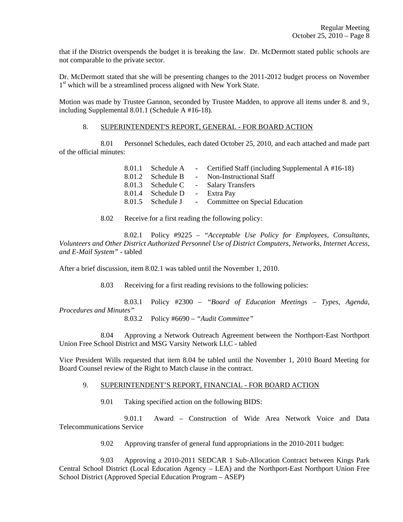that if the District overspends the budget it is breaking the law. Dr. McDermott stated public schools are not comparable to the private sector.

Dr. McDermott stated that she will be presenting changes to the 2011-2012 budget process on November 1<sup>st</sup> which will be a streamlined process aligned with New York State.

Motion was made by Trustee Gannon, seconded by Trustee Madden, to approve all items under 8. and 9., including Supplemental 8.01.1 (Schedule A #16-18).

## 8. SUPERINTENDENT'S REPORT, GENERAL - FOR BOARD ACTION

 8.01 Personnel Schedules, each dated October 25, 2010, and each attached and made part of the official minutes:

|                               | 8.01.1 Schedule A - Certified Staff (including Supplemental A #16-18) |
|-------------------------------|-----------------------------------------------------------------------|
|                               | 8.01.2 Schedule B - Non-Instructional Staff                           |
|                               | 8.01.3 Schedule C - Salary Transfers                                  |
| 8.01.4 Schedule D - Extra Pay |                                                                       |
|                               | 8.01.5 Schedule J - Committee on Special Education                    |

8.02 Receive for a first reading the following policy:

 8.02.1 Policy #9225 – *"Acceptable Use Policy for Employees, Consultants, Volunteers and Other District Authorized Personnel Use of District Computers, Networks, Internet Access, and E-Mail System"* - tabled

After a brief discussion, item 8.02.1 was tabled until the November 1, 2010.

8.03 Receiving for a first reading revisions to the following policies:

 8.03.1 Policy #2300 – *"Board of Education Meetings – Types, Agenda, Procedures and Minutes"*

8.03.2 Policy #6690 – *"Audit Committee"*

 8.04 Approving a Network Outreach Agreement between the Northport-East Northport Union Free School District and MSG Varsity Network LLC - tabled

Vice President Wills requested that item 8.04 be tabled until the November 1, 2010 Board Meeting for Board Counsel review of the Right to Match clause in the contract.

### 9. SUPERINTENDENT'S REPORT, FINANCIAL - FOR BOARD ACTION

9.01 Taking specified action on the following BIDS:

 9.01.1 Award – Construction of Wide Area Network Voice and Data Telecommunications Service

9.02 Approving transfer of general fund appropriations in the 2010-2011 budget:

 9.03 Approving a 2010-2011 SEDCAR 1 Sub-Allocation Contract between Kings Park Central School District (Local Education Agency – LEA) and the Northport-East Northport Union Free School District (Approved Special Education Program – ASEP)